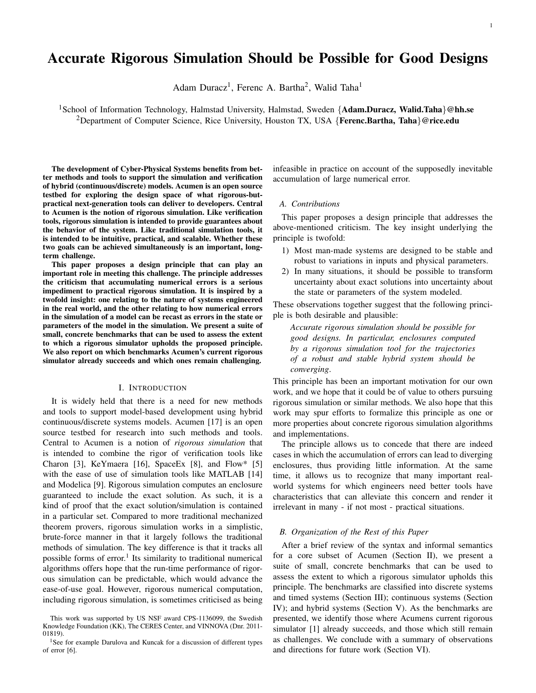# Accurate Rigorous Simulation Should be Possible for Good Designs

Adam Duracz<sup>1</sup>, Ferenc A. Bartha<sup>2</sup>, Walid Taha<sup>1</sup>

<sup>1</sup>School of Information Technology, Halmstad University, Halmstad, Sweden {Adam.Duracz, Walid.Taha}@hh.se <sup>2</sup>Department of Computer Science, Rice University, Houston TX, USA {Ferenc.Bartha, Taha}@rice.edu

The development of Cyber-Physical Systems benefits from better methods and tools to support the simulation and verification of hybrid (continuous/discrete) models. Acumen is an open source testbed for exploring the design space of what rigorous-butpractical next-generation tools can deliver to developers. Central to Acumen is the notion of rigorous simulation. Like verification tools, rigorous simulation is intended to provide guarantees about the behavior of the system. Like traditional simulation tools, it is intended to be intuitive, practical, and scalable. Whether these two goals can be achieved simultaneously is an important, longterm challenge.

This paper proposes a design principle that can play an important role in meeting this challenge. The principle addresses the criticism that accumulating numerical errors is a serious impediment to practical rigorous simulation. It is inspired by a twofold insight: one relating to the nature of systems engineered in the real world, and the other relating to how numerical errors in the simulation of a model can be recast as errors in the state or parameters of the model in the simulation. We present a suite of small, concrete benchmarks that can be used to assess the extent to which a rigorous simulator upholds the proposed principle. We also report on which benchmarks Acumen's current rigorous simulator already succeeds and which ones remain challenging.

### I. INTRODUCTION

It is widely held that there is a need for new methods and tools to support model-based development using hybrid continuous/discrete systems models. Acumen [17] is an open source testbed for research into such methods and tools. Central to Acumen is a notion of *rigorous simulation* that is intended to combine the rigor of verification tools like Charon [3], KeYmaera [16], SpaceEx [8], and Flow\* [5] with the ease of use of simulation tools like MATLAB [14] and Modelica [9]. Rigorous simulation computes an enclosure guaranteed to include the exact solution. As such, it is a kind of proof that the exact solution/simulation is contained in a particular set. Compared to more traditional mechanized theorem provers, rigorous simulation works in a simplistic, brute-force manner in that it largely follows the traditional methods of simulation. The key difference is that it tracks all possible forms of error.<sup>1</sup> Its similarity to traditional numerical algorithms offers hope that the run-time performance of rigorous simulation can be predictable, which would advance the ease-of-use goal. However, rigorous numerical computation, including rigorous simulation, is sometimes criticised as being

infeasible in practice on account of the supposedly inevitable accumulation of large numerical error.

### *A. Contributions*

This paper proposes a design principle that addresses the above-mentioned criticism. The key insight underlying the principle is twofold:

- 1) Most man-made systems are designed to be stable and robust to variations in inputs and physical parameters.
- 2) In many situations, it should be possible to transform uncertainty about exact solutions into uncertainty about the state or parameters of the system modeled.

These observations together suggest that the following principle is both desirable and plausible:

*Accurate rigorous simulation should be possible for good designs. In particular, enclosures computed by a rigorous simulation tool for the trajectories of a robust and stable hybrid system should be converging*.

This principle has been an important motivation for our own work, and we hope that it could be of value to others pursuing rigorous simulation or similar methods. We also hope that this work may spur efforts to formalize this principle as one or more properties about concrete rigorous simulation algorithms and implementations.

The principle allows us to concede that there are indeed cases in which the accumulation of errors can lead to diverging enclosures, thus providing little information. At the same time, it allows us to recognize that many important realworld systems for which engineers need better tools have characteristics that can alleviate this concern and render it irrelevant in many - if not most - practical situations.

# *B. Organization of the Rest of this Paper*

After a brief review of the syntax and informal semantics for a core subset of Acumen (Section II), we present a suite of small, concrete benchmarks that can be used to assess the extent to which a rigorous simulator upholds this principle. The benchmarks are classified into discrete systems and timed systems (Section III); continuous systems (Section IV); and hybrid systems (Section V). As the benchmarks are presented, we identify those where Acumens current rigorous simulator [1] already succeeds, and those which still remain as challenges. We conclude with a summary of observations and directions for future work (Section VI).

This work was supported by US NSF award CPS-1136099, the Swedish Knowledge Foundation (KK), The CERES Center, and VINNOVA (Dnr. 2011- 01819).

<sup>&</sup>lt;sup>1</sup>See for example Darulova and Kuncak for a discussion of different types of error [6].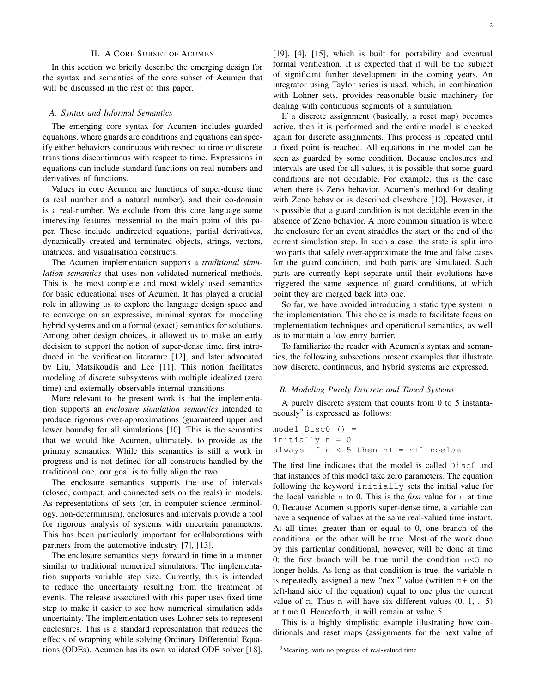### II. A CORE SUBSET OF ACUMEN

In this section we briefly describe the emerging design for the syntax and semantics of the core subset of Acumen that will be discussed in the rest of this paper.

#### *A. Syntax and Informal Semantics*

The emerging core syntax for Acumen includes guarded equations, where guards are conditions and equations can specify either behaviors continuous with respect to time or discrete transitions discontinuous with respect to time. Expressions in equations can include standard functions on real numbers and derivatives of functions.

Values in core Acumen are functions of super-dense time (a real number and a natural number), and their co-domain is a real-number. We exclude from this core language some interesting features inessential to the main point of this paper. These include undirected equations, partial derivatives, dynamically created and terminated objects, strings, vectors, matrices, and visualisation constructs.

The Acumen implementation supports a *traditional simulation semantics* that uses non-validated numerical methods. This is the most complete and most widely used semantics for basic educational uses of Acumen. It has played a crucial role in allowing us to explore the language design space and to converge on an expressive, minimal syntax for modeling hybrid systems and on a formal (exact) semantics for solutions. Among other design choices, it allowed us to make an early decision to support the notion of super-dense time, first introduced in the verification literature [12], and later advocated by Liu, Matsikoudis and Lee [11]. This notion facilitates modeling of discrete subsystems with multiple idealized (zero time) and externally-observable internal transitions.

More relevant to the present work is that the implementation supports an *enclosure simulation semantics* intended to produce rigorous over-approximations (guaranteed upper and lower bounds) for all simulations [10]. This is the semantics that we would like Acumen, ultimately, to provide as the primary semantics. While this semantics is still a work in progress and is not defined for all constructs handled by the traditional one, our goal is to fully align the two.

The enclosure semantics supports the use of intervals (closed, compact, and connected sets on the reals) in models. As representations of sets (or, in computer science terminology, non-determinism), enclosures and intervals provide a tool for rigorous analysis of systems with uncertain parameters. This has been particularly important for collaborations with partners from the automotive industry [7], [13].

The enclosure semantics steps forward in time in a manner similar to traditional numerical simulators. The implementation supports variable step size. Currently, this is intended to reduce the uncertainty resulting from the treatment of events. The release associated with this paper uses fixed time step to make it easier to see how numerical simulation adds uncertainty. The implementation uses Lohner sets to represent enclosures. This is a standard representation that reduces the effects of wrapping while solving Ordinary Differential Equations (ODEs). Acumen has its own validated ODE solver [18], [19], [4], [15], which is built for portability and eventual formal verification. It is expected that it will be the subject of significant further development in the coming years. An integrator using Taylor series is used, which, in combination with Lohner sets, provides reasonable basic machinery for dealing with continuous segments of a simulation.

If a discrete assignment (basically, a reset map) becomes active, then it is performed and the entire model is checked again for discrete assignments. This process is repeated until a fixed point is reached. All equations in the model can be seen as guarded by some condition. Because enclosures and intervals are used for all values, it is possible that some guard conditions are not decidable. For example, this is the case when there is Zeno behavior. Acumen's method for dealing with Zeno behavior is described elsewhere [10]. However, it is possible that a guard condition is not decidable even in the absence of Zeno behavior. A more common situation is where the enclosure for an event straddles the start or the end of the current simulation step. In such a case, the state is split into two parts that safely over-approximate the true and false cases for the guard condition, and both parts are simulated. Such parts are currently kept separate until their evolutions have triggered the same sequence of guard conditions, at which point they are merged back into one.

So far, we have avoided introducing a static type system in the implementation. This choice is made to facilitate focus on implementation techniques and operational semantics, as well as to maintain a low entry barrier.

To familiarize the reader with Acumen's syntax and semantics, the following subsections present examples that illustrate how discrete, continuous, and hybrid systems are expressed.

### *B. Modeling Purely Discrete and Timed Systems*

A purely discrete system that counts from 0 to 5 instantaneously<sup>2</sup> is expressed as follows:

```
model Disc0 () =initially n = 0
always if n < 5 then n + = n + 1 noelse
```
The first line indicates that the model is called Disc0 and that instances of this model take zero parameters. The equation following the keyword initially sets the initial value for the local variable n to 0. This is the *first* value for n at time 0. Because Acumen supports super-dense time, a variable can have a sequence of values at the same real-valued time instant. At all times greater than or equal to 0, one branch of the conditional or the other will be true. Most of the work done by this particular conditional, however, will be done at time 0: the first branch will be true until the condition  $n < 5$  no longer holds. As long as that condition is true, the variable n is repeatedly assigned a new "next" value (written n+ on the left-hand side of the equation) equal to one plus the current value of n. Thus n will have six different values  $(0, 1, ... 5)$ at time 0. Henceforth, it will remain at value 5.

This is a highly simplistic example illustrating how conditionals and reset maps (assignments for the next value of

<sup>2</sup>Meaning, with no progress of real-valued time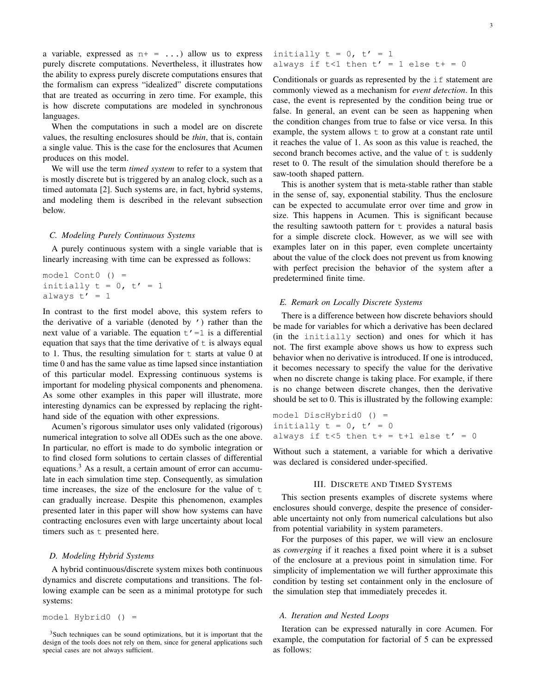a variable, expressed as  $n+ = ...$ ) allow us to express purely discrete computations. Nevertheless, it illustrates how the ability to express purely discrete computations ensures that the formalism can express "idealized" discrete computations that are treated as occurring in zero time. For example, this is how discrete computations are modeled in synchronous languages.

When the computations in such a model are on discrete values, the resulting enclosures should be *thin*, that is, contain a single value. This is the case for the enclosures that Acumen produces on this model.

We will use the term *timed system* to refer to a system that is mostly discrete but is triggered by an analog clock, such as a timed automata [2]. Such systems are, in fact, hybrid systems, and modeling them is described in the relevant subsection below.

## *C. Modeling Purely Continuous Systems*

A purely continuous system with a single variable that is linearly increasing with time can be expressed as follows:

 $model$  Cont $0$  () = initially  $t = 0$ ,  $t' = 1$ always  $t' = 1$ 

In contrast to the first model above, this system refers to the derivative of a variable (denoted by ') rather than the next value of a variable. The equation  $t' = 1$  is a differential equation that says that the time derivative of  $t$  is always equal to 1. Thus, the resulting simulation for  $t$  starts at value 0 at time 0 and has the same value as time lapsed since instantiation of this particular model. Expressing continuous systems is important for modeling physical components and phenomena. As some other examples in this paper will illustrate, more interesting dynamics can be expressed by replacing the righthand side of the equation with other expressions.

Acumen's rigorous simulator uses only validated (rigorous) numerical integration to solve all ODEs such as the one above. In particular, no effort is made to do symbolic integration or to find closed form solutions to certain classes of differential equations.<sup>3</sup> As a result, a certain amount of error can accumulate in each simulation time step. Consequently, as simulation time increases, the size of the enclosure for the value of  $t$ can gradually increase. Despite this phenomenon, examples presented later in this paper will show how systems can have contracting enclosures even with large uncertainty about local timers such as t presented here.

### *D. Modeling Hybrid Systems*

A hybrid continuous/discrete system mixes both continuous dynamics and discrete computations and transitions. The following example can be seen as a minimal prototype for such systems:

model Hybrid0 () =

<sup>3</sup>Such techniques can be sound optimizations, but it is important that the design of the tools does not rely on them, since for general applications such special cases are not always sufficient.

# initially  $t = 0$ ,  $t' = 1$ always if  $t < 1$  then  $t' = 1$  else  $t + = 0$

Conditionals or guards as represented by the  $if$  statement are commonly viewed as a mechanism for *event detection*. In this case, the event is represented by the condition being true or false. In general, an event can be seen as happening when the condition changes from true to false or vice versa. In this example, the system allows  $\pm$  to grow at a constant rate until it reaches the value of 1. As soon as this value is reached, the second branch becomes active, and the value of  $t$  is suddenly reset to 0. The result of the simulation should therefore be a saw-tooth shaped pattern.

This is another system that is meta-stable rather than stable in the sense of, say, exponential stability. Thus the enclosure can be expected to accumulate error over time and grow in size. This happens in Acumen. This is significant because the resulting sawtooth pattern for  $t$  provides a natural basis for a simple discrete clock. However, as we will see with examples later on in this paper, even complete uncertainty about the value of the clock does not prevent us from knowing with perfect precision the behavior of the system after a predetermined finite time.

### *E. Remark on Locally Discrete Systems*

There is a difference between how discrete behaviors should be made for variables for which a derivative has been declared (in the initially section) and ones for which it has not. The first example above shows us how to express such behavior when no derivative is introduced. If one is introduced, it becomes necessary to specify the value for the derivative when no discrete change is taking place. For example, if there is no change between discrete changes, then the derivative should be set to 0. This is illustrated by the following example:

model DiscHybrid0 () = initially  $t = 0$ ,  $t' = 0$ always if  $t < 5$  then  $t + = t + 1$  else  $t' = 0$ 

Without such a statement, a variable for which a derivative was declared is considered under-specified.

### III. DISCRETE AND TIMED SYSTEMS

This section presents examples of discrete systems where enclosures should converge, despite the presence of considerable uncertainty not only from numerical calculations but also from potential variability in system parameters.

For the purposes of this paper, we will view an enclosure as *converging* if it reaches a fixed point where it is a subset of the enclosure at a previous point in simulation time. For simplicity of implementation we will further approximate this condition by testing set containment only in the enclosure of the simulation step that immediately precedes it.

### *A. Iteration and Nested Loops*

Iteration can be expressed naturally in core Acumen. For example, the computation for factorial of 5 can be expressed as follows: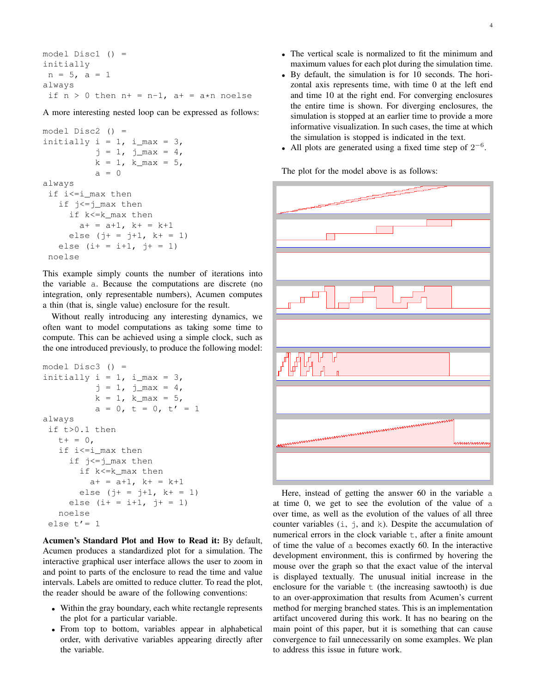```
model Disc1 () =
initially
n = 5, a = 1always
 if n > 0 then n + = n-1, a + = a*n noelse
```
A more interesting nested loop can be expressed as follows:

```
model Disc2 () =initially i = 1, i_{max} = 3,
          j = 1, j_{max} = 4,
          k = 1, k_{max} = 5,
          a = 0always
 if i<=i_max then
   if j<=j_max then
     if k<=k_max then
       a+ = a+1, k+ = k+1else (j+ = j+1, k+ = 1)
   else (i+ = i+1, j+ = 1)noelse
```
This example simply counts the number of iterations into the variable a. Because the computations are discrete (no integration, only representable numbers), Acumen computes a thin (that is, single value) enclosure for the result.

Without really introducing any interesting dynamics, we often want to model computations as taking some time to compute. This can be achieved using a simple clock, such as the one introduced previously, to produce the following model:

```
model Disc3 () =
initially i = 1, i_{max} = 3,
          j = 1, j_{max} = 4,
          k = 1, k_{max} = 5,
          a = 0, t = 0, t' = 1always
 if t>0.1 then
   t+ = 0,
   if i<=i_max then
     if j<=j_max then
       if k<=k_max then
         a+ = a+1, k+ = k+1else (j + = j + 1, k + = 1)else (i + = i + 1, j + = 1)noelse
 else t' = 1
```
Acumen's Standard Plot and How to Read it: By default, Acumen produces a standardized plot for a simulation. The interactive graphical user interface allows the user to zoom in and point to parts of the enclosure to read the time and value intervals. Labels are omitted to reduce clutter. To read the plot, the reader should be aware of the following conventions:

- Within the gray boundary, each white rectangle represents the plot for a particular variable.
- From top to bottom, variables appear in alphabetical order, with derivative variables appearing directly after the variable.
- 4
- The vertical scale is normalized to fit the minimum and maximum values for each plot during the simulation time.
- By default, the simulation is for 10 seconds. The horizontal axis represents time, with time 0 at the left end and time 10 at the right end. For converging enclosures the entire time is shown. For diverging enclosures, the simulation is stopped at an earlier time to provide a more informative visualization. In such cases, the time at which the simulation is stopped is indicated in the text.
- All plots are generated using a fixed time step of  $2^{-6}$ .

The plot for the model above is as follows:



Here, instead of getting the answer 60 in the variable a at time 0, we get to see the evolution of the value of a over time, as well as the evolution of the values of all three counter variables  $(i, j, and k)$ . Despite the accumulation of numerical errors in the clock variable  $t$ , after a finite amount of time the value of a becomes exactly 60. In the interactive development environment, this is confirmed by hovering the mouse over the graph so that the exact value of the interval is displayed textually. The unusual initial increase in the enclosure for the variable  $\pm$  (the increasing sawtooth) is due to an over-approximation that results from Acumen's current method for merging branched states. This is an implementation artifact uncovered during this work. It has no bearing on the main point of this paper, but it is something that can cause convergence to fail unnecessarily on some examples. We plan to address this issue in future work.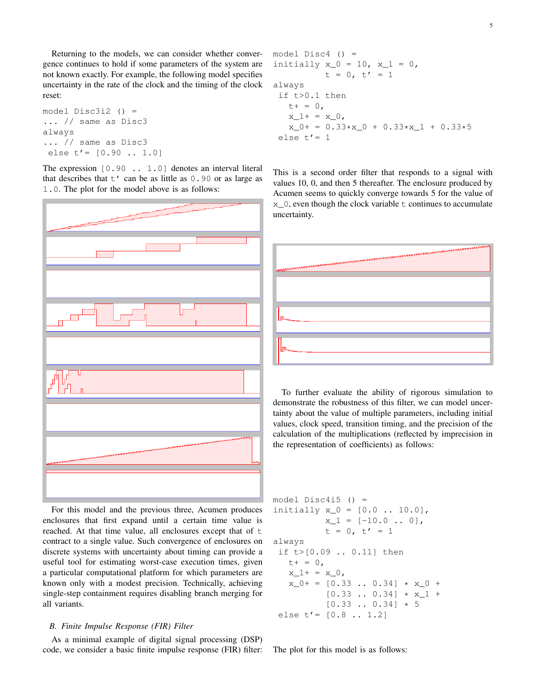Returning to the models, we can consider whether convergence continues to hold if some parameters of the system are not known exactly. For example, the following model specifies uncertainty in the rate of the clock and the timing of the clock reset:

```
model Disc3i2 () =
... // same as Disc3
always
... // same as Disc3
else t'= [0.90 .. 1.0]
```
The expression [0.90 .. 1.0] denotes an interval literal that describes that  $t'$  can be as little as 0.90 or as large as 1.0. The plot for the model above is as follows:



For this model and the previous three, Acumen produces enclosures that first expand until a certain time value is reached. At that time value, all enclosures except that of  $t$ contract to a single value. Such convergence of enclosures on discrete systems with uncertainty about timing can provide a useful tool for estimating worst-case execution times, given a particular computational platform for which parameters are known only with a modest precision. Technically, achieving single-step containment requires disabling branch merging for all variants.

# *B. Finite Impulse Response (FIR) Filter*

As a minimal example of digital signal processing (DSP) code, we consider a basic finite impulse response (FIR) filter:

```
model Disc4 () =
initially x_0 = 10, x_1 = 0,
          t = 0, t' = 1always
 if t>0.1 then
   t+ = 0,x_1 + = x_0,
   x_0 + = 0.33*x_0 + 0.33*x_1 + 0.33*5else t' = 1
```
This is a second order filter that responds to a signal with values 10, 0, and then 5 thereafter. The enclosure produced by Acumen seems to quickly converge towards 5 for the value of  $x_0$ , even though the clock variable t continues to accumulate uncertainty.



To further evaluate the ability of rigorous simulation to demonstrate the robustness of this filter, we can model uncertainty about the value of multiple parameters, including initial values, clock speed, transition timing, and the precision of the calculation of the multiplications (reflected by imprecision in the representation of coefficients) as follows:

```
model Disc4i5 () =
initially x_0 = [0.0 ... 10.0],x_1 = [-10.0 \dots 0],t = 0, t' = 1always
 if t>[0.09 .. 0.11] then
   t+ = 0,x_1 + = x_0,
   x = 0 + 33.. 0.34] * x = 0 + 1[0.33 \ldots 0.34] \times X1 +[0.33 \ldots 0.34] \times 5else t'= [0.8 .. 1.2]
```
The plot for this model is as follows: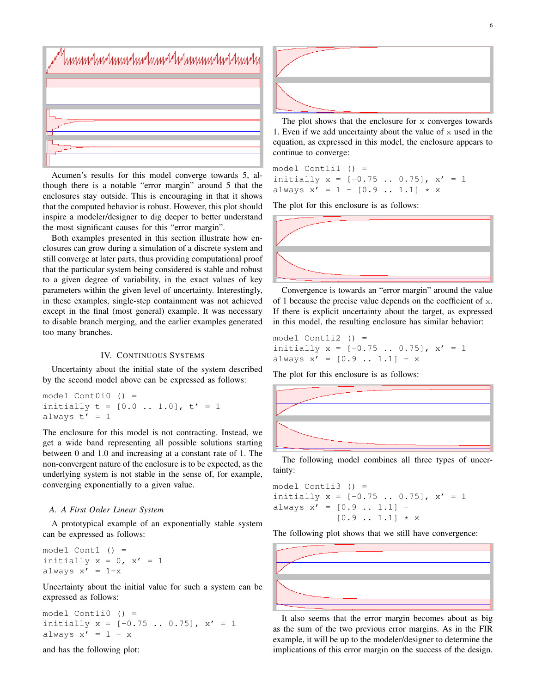

Acumen's results for this model converge towards 5, although there is a notable "error margin" around 5 that the enclosures stay outside. This is encouraging in that it shows that the computed behavior is robust. However, this plot should inspire a modeler/designer to dig deeper to better understand the most significant causes for this "error margin".

Both examples presented in this section illustrate how enclosures can grow during a simulation of a discrete system and still converge at later parts, thus providing computational proof that the particular system being considered is stable and robust to a given degree of variability, in the exact values of key parameters within the given level of uncertainty. Interestingly, in these examples, single-step containment was not achieved except in the final (most general) example. It was necessary to disable branch merging, and the earlier examples generated too many branches.

### IV. CONTINUOUS SYSTEMS

Uncertainty about the initial state of the system described by the second model above can be expressed as follows:

```
model Cont0i0 () =
initially t = [0.0 ... 1.0], t' = 1always t' = 1
```
The enclosure for this model is not contracting. Instead, we get a wide band representing all possible solutions starting between 0 and 1.0 and increasing at a constant rate of 1. The non-convergent nature of the enclosure is to be expected, as the underlying system is not stable in the sense of, for example, converging exponentially to a given value.

### *A. A First Order Linear System*

A prototypical example of an exponentially stable system can be expressed as follows:

 $model$  Cont $1$  () = initially  $x = 0$ ,  $x' = 1$ always  $x' = 1-x$ 

Uncertainty about the initial value for such a system can be expressed as follows:

```
model Contli0 () =
initially x = [-0.75...0.75], x' = 1always x' = 1 - x
```
and has the following plot:



The plot shows that the enclosure for  $x$  converges towards 1. Even if we add uncertainty about the value of  $x$  used in the equation, as expressed in this model, the enclosure appears to continue to converge:

 $model$  Contlil () = initially  $x = [-0.75...0.75]$ ,  $x' = 1$ always  $x' = 1 - [0.9 \dots 1.1] \cdot x$ 

The plot for this enclosure is as follows:



Convergence is towards an "error margin" around the value of 1 because the precise value depends on the coefficient of x. If there is explicit uncertainty about the target, as expressed in this model, the resulting enclosure has similar behavior:

 $model$  Contli2 () = initially  $x = [-0.75...0.75]$ ,  $x' = 1$ always  $x' = [0.9 ... 1.1] - x$ 

The plot for this enclosure is as follows:



The following model combines all three types of uncertainty:

```
model Contli3 () =
initially x = [-0.75...0.75], x' = 1always x' = [0.9 ... 1.1] -
            [0.9 \ldots 1.1] * x
```
The following plot shows that we still have convergence:



It also seems that the error margin becomes about as big as the sum of the two previous error margins. As in the FIR example, it will be up to the modeler/designer to determine the implications of this error margin on the success of the design.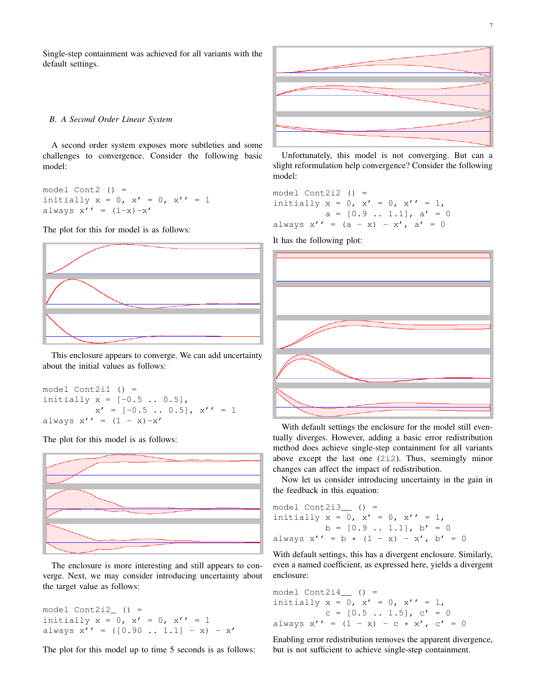Single-step containment was achieved for all variants with the default settings.

# *B. A Second Order Linear System*

A second order system exposes more subtleties and some challenges to convergence. Consider the following basic model:

 $model$  Cont2 () = initially  $x = 0$ ,  $x' = 0$ ,  $x'' = 1$ always  $x'$  =  $(1-x)$  -x'





This enclosure appears to converge. We can add uncertainty about the initial values as follows:

```
model Cont2i1 () =
initially x = [-0.5 \ldots 0.5],
         x' = [-0.5 \dots 0.5], x'' = 1always x' = (1 - x) -x'
```
The plot for this model is as follows:



The enclosure is more interesting and still appears to converge. Next, we may consider introducing uncertainty about the target value as follows:

```
model Cont2i2 () =
initially x = 0, x' = 0, x'' = 1always x' = ([0.90 \dots 1.1] - x) - x'
```
The plot for this model up to time 5 seconds is as follows:



Unfortunately, this model is not converging. But can a slight reformulation help convergence? Consider the following model:

 $model$  Cont2i2 () = initially  $x = 0$ ,  $x' = 0$ ,  $x'' = 1$ ,  $a = [0.9 \ldots 1.1], a' = 0$ always  $x'' = (a - x) - x'$ ,  $a' = 0$ 

It has the following plot:



With default settings the enclosure for the model still eventually diverges. However, adding a basic error redistribution method does achieve single-step containment for all variants above except the last one (2i2). Thus, seemingly minor changes can affect the impact of redistribution.

Now let us consider introducing uncertainty in the gain in the feedback in this equation:

 $model$  Cont $2i3$  () = initially  $x = 0$ ,  $x' = 0$ ,  $x'' = 1$ ,  $b = [0.9 \ldots 1.1], b' = 0$ always  $x'' = b * (1 - x) - x'$ ,  $b' = 0$ 

With default settings, this has a divergent enclosure. Similarly, even a named coefficient, as expressed here, yields a divergent enclosure:

```
model Cont2i4 () =
initially x = 0, x' = 0, x'' = 1,
        c = [0.5 \dots 1.5], c' = 0always x'' = (1 - x) - c * x', c' = 0
```
Enabling error redistribution removes the apparent divergence, but is not sufficient to achieve single-step containment.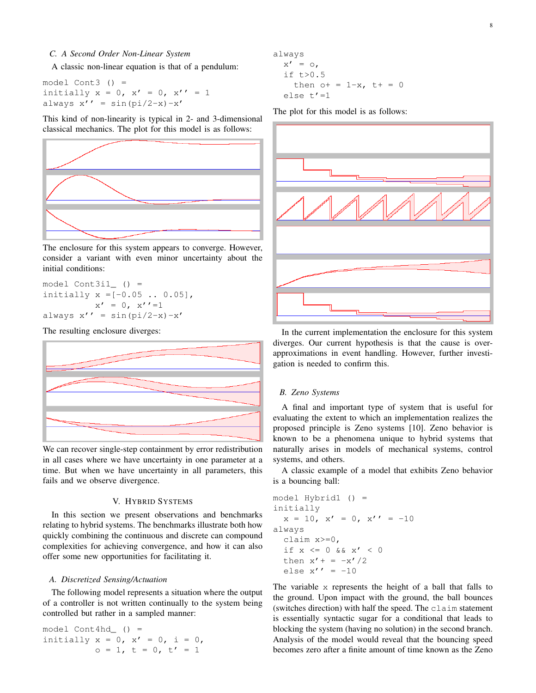# *C. A Second Order Non-Linear System*

A classic non-linear equation is that of a pendulum:

 $model$  Cont3 () = initially  $x = 0$ ,  $x' = 0$ ,  $x'' = 1$ always  $x'$  = sin(pi/2-x)-x'

This kind of non-linearity is typical in 2- and 3-dimensional classical mechanics. The plot for this model is as follows:



The enclosure for this system appears to converge. However, consider a variant with even minor uncertainty about the initial conditions:

```
model Cont3i1 () =
initially x = [-0.05 \ldots 0.05],
          x' = 0, x' = 1always x' = sin(pi/2-x)-x'
```
The resulting enclosure diverges:



We can recover single-step containment by error redistribution in all cases where we have uncertainty in one parameter at a time. But when we have uncertainty in all parameters, this fails and we observe divergence.

# V. HYBRID SYSTEMS

In this section we present observations and benchmarks relating to hybrid systems. The benchmarks illustrate both how quickly combining the continuous and discrete can compound complexities for achieving convergence, and how it can also offer some new opportunities for facilitating it.

### *A. Discretized Sensing/Actuation*

The following model represents a situation where the output of a controller is not written continually to the system being controlled but rather in a sampled manner:

model Cont4hd\_ () = initially  $x = 0$ ,  $x' = 0$ , i = 0,  $o = 1$ ,  $t = 0$ ,  $t' = 1$ 

```
always
 x' = 0,if t>0.5
    then o+ = 1-x, t+ = 0else t'=1
```
The plot for this model is as follows:



In the current implementation the enclosure for this system diverges. Our current hypothesis is that the cause is overapproximations in event handling. However, further investigation is needed to confirm this.

### *B. Zeno Systems*

A final and important type of system that is useful for evaluating the extent to which an implementation realizes the proposed principle is Zeno systems [10]. Zeno behavior is known to be a phenomena unique to hybrid systems that naturally arises in models of mechanical systems, control systems, and others.

A classic example of a model that exhibits Zeno behavior is a bouncing ball:

```
model Hybrid1 () =
initially
 x = 10, x' = 0, x' = -10always
  claim x>=0,
  if x \le 0 & x' \le 0then x' + = -x'/2else x'' = -10
```
The variable x represents the height of a ball that falls to the ground. Upon impact with the ground, the ball bounces (switches direction) with half the speed. The claim statement is essentially syntactic sugar for a conditional that leads to blocking the system (having no solution) in the second branch. Analysis of the model would reveal that the bouncing speed becomes zero after a finite amount of time known as the Zeno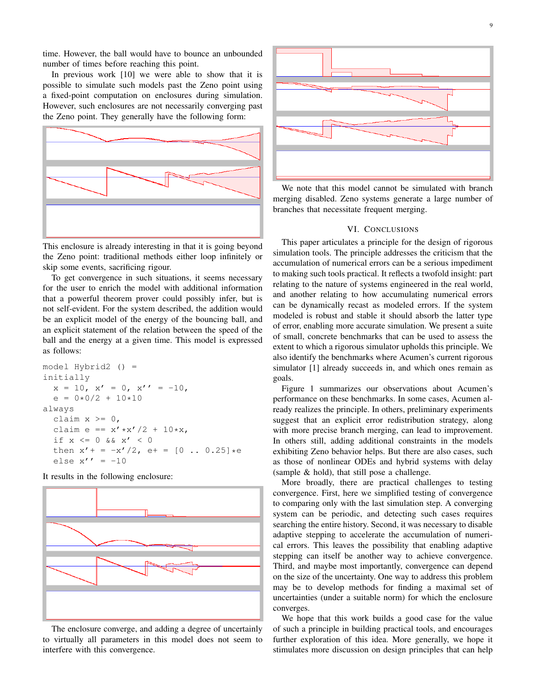time. However, the ball would have to bounce an unbounded number of times before reaching this point.

In previous work [10] we were able to show that it is possible to simulate such models past the Zeno point using a fixed-point computation on enclosures during simulation. However, such enclosures are not necessarily converging past the Zeno point. They generally have the following form:



This enclosure is already interesting in that it is going beyond the Zeno point: traditional methods either loop infinitely or skip some events, sacrificing rigour.

To get convergence in such situations, it seems necessary for the user to enrich the model with additional information that a powerful theorem prover could possibly infer, but is not self-evident. For the system described, the addition would be an explicit model of the energy of the bouncing ball, and an explicit statement of the relation between the speed of the ball and the energy at a given time. This model is expressed as follows:

```
model Hybrid2 () =
initially
  x = 10, x' = 0, x' = -10,
  e = 0*0/2 + 10*10always
  claim x \ge 0,
  claim e == x' * x' / 2 + 10 * x,
  if x \le 0 & x' \le 0then x' + = -x'/2, e^+ = [0 \dots 0.25] *eelse x'' = -10
```




The enclosure converge, and adding a degree of uncertainly to virtually all parameters in this model does not seem to interfere with this convergence.



We note that this model cannot be simulated with branch merging disabled. Zeno systems generate a large number of branches that necessitate frequent merging.

### VI. CONCLUSIONS

This paper articulates a principle for the design of rigorous simulation tools. The principle addresses the criticism that the accumulation of numerical errors can be a serious impediment to making such tools practical. It reflects a twofold insight: part relating to the nature of systems engineered in the real world, and another relating to how accumulating numerical errors can be dynamically recast as modeled errors. If the system modeled is robust and stable it should absorb the latter type of error, enabling more accurate simulation. We present a suite of small, concrete benchmarks that can be used to assess the extent to which a rigorous simulator upholds this principle. We also identify the benchmarks where Acumen's current rigorous simulator [1] already succeeds in, and which ones remain as goals.

Figure 1 summarizes our observations about Acumen's performance on these benchmarks. In some cases, Acumen already realizes the principle. In others, preliminary experiments suggest that an explicit error redistribution strategy, along with more precise branch merging, can lead to improvement. In others still, adding additional constraints in the models exhibiting Zeno behavior helps. But there are also cases, such as those of nonlinear ODEs and hybrid systems with delay (sample & hold), that still pose a challenge.

More broadly, there are practical challenges to testing convergence. First, here we simplified testing of convergence to comparing only with the last simulation step. A converging system can be periodic, and detecting such cases requires searching the entire history. Second, it was necessary to disable adaptive stepping to accelerate the accumulation of numerical errors. This leaves the possibility that enabling adaptive stepping can itself be another way to achieve convergence. Third, and maybe most importantly, convergence can depend on the size of the uncertainty. One way to address this problem may be to develop methods for finding a maximal set of uncertainties (under a suitable norm) for which the enclosure converges.

We hope that this work builds a good case for the value of such a principle in building practical tools, and encourages further exploration of this idea. More generally, we hope it stimulates more discussion on design principles that can help